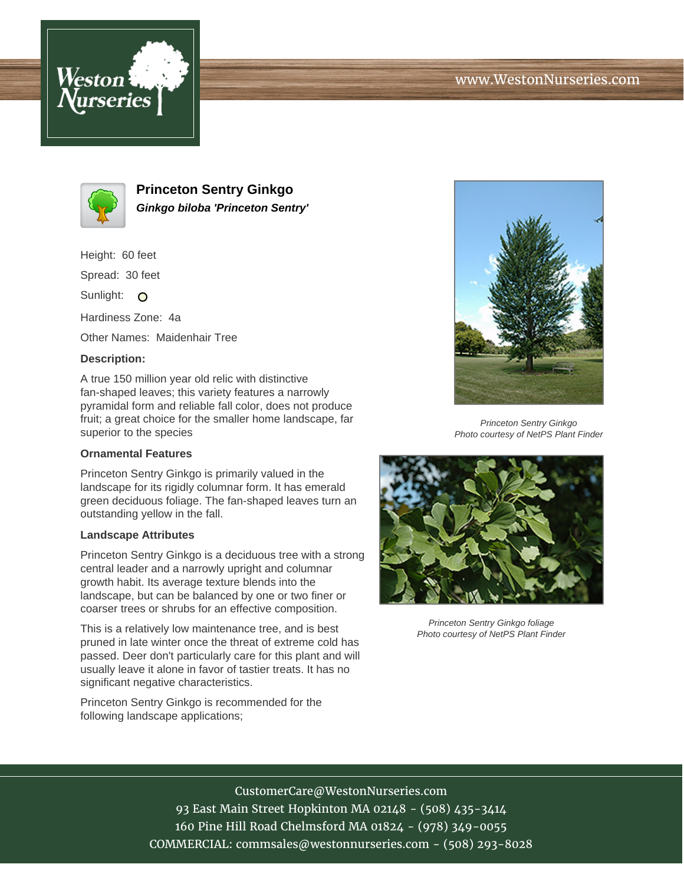



**Princeton Sentry Ginkgo Ginkgo biloba 'Princeton Sentry'**

Height: 60 feet

Spread: 30 feet

Sunlight: O

Hardiness Zone: 4a

Other Names: Maidenhair Tree

### **Description:**

A true 150 million year old relic with distinctive fan-shaped leaves; this variety features a narrowly pyramidal form and reliable fall color, does not produce fruit; a great choice for the smaller home landscape, far superior to the species

#### **Ornamental Features**

Princeton Sentry Ginkgo is primarily valued in the landscape for its rigidly columnar form. It has emerald green deciduous foliage. The fan-shaped leaves turn an outstanding yellow in the fall.

#### **Landscape Attributes**

Princeton Sentry Ginkgo is a deciduous tree with a strong central leader and a narrowly upright and columnar growth habit. Its average texture blends into the landscape, but can be balanced by one or two finer or coarser trees or shrubs for an effective composition.

This is a relatively low maintenance tree, and is best pruned in late winter once the threat of extreme cold has passed. Deer don't particularly care for this plant and will usually leave it alone in favor of tastier treats. It has no significant negative characteristics.

Princeton Sentry Ginkgo is recommended for the following landscape applications;



Princeton Sentry Ginkgo Photo courtesy of NetPS Plant Finder



Princeton Sentry Ginkgo foliage Photo courtesy of NetPS Plant Finder

# CustomerCare@WestonNurseries.com

93 East Main Street Hopkinton MA 02148 - (508) 435-3414 160 Pine Hill Road Chelmsford MA 01824 - (978) 349-0055 COMMERCIAL: commsales@westonnurseries.com - (508) 293-8028